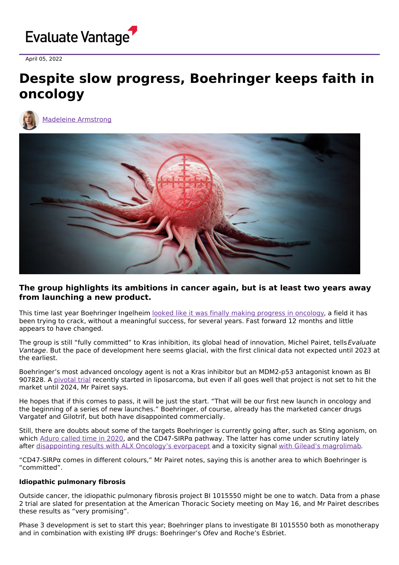

April 05, 2022

## **Despite slow progress, Boehringer keeps faith in oncology**



Madeleine [Armstrong](https://www.evaluate.com/vantage/editorial-team/madeleine-armstrong)



## **The group highlights its ambitions in cancer again, but is at least two years away from launching a new product.**

This time last year Boehringer Ingelheim looked like it was finally making [progress](https://www.evaluate.com/vantage/articles/interviews/boehringers-big-cancer-reveal-draws-near) in oncology, a field it has been trying to crack, without a meaningful success, for several years. Fast forward 12 months and little appears to have changed.

The group is still "fully committed" to Kras inhibition, its global head of innovation, Michel Pairet, tells Evaluate Vantage. But the pace of development here seems glacial, with the first clinical data not expected until 2023 at the earliest.

Boehringer's most advanced oncology agent is not a Kras inhibitor but an MDM2-p53 antagonist known as BI 907828. A [pivotal](https://clinicaltrials.gov/ct2/show/NCT05218499) trial recently started in liposarcoma, but even if all goes well that project is not set to hit the market until 2024, Mr Pairet says.

He hopes that if this comes to pass, it will be just the start. "That will be our first new launch in oncology and the beginning of a series of new launches." Boehringer, of course, already has the marketed cancer drugs Vargatef and Gilotrif, but both have disappointed commercially.

Still, there are doubts about some of the targets Boehringer is currently going after, such as Sting agonism, on which [Aduro](https://www.evaluate.com/vantage/articles/news/chinook-marks-ignominious-end-sting) called time in 2020, and the CD47-SIRPα pathway. The latter has come under scrutiny lately after [disappointing](https://www.evaluate.com/vantage/articles/events/conferences/sitc-2021-alx-oncologys-unpleasant-double-dip) results with ALX Oncology's evorpacept and a toxicity signal with Gilead's [magrolimab](https://www.evaluate.com/vantage/articles/news/policy-and-regulation-snippets/pfizer-hopes-gileads-cd47-issues-arent).

"CD47-SIRPα comes in different colours," Mr Pairet notes, saying this is another area to which Boehringer is "committed".

## **Idiopathic pulmonary fibrosis**

Outside cancer, the idiopathic pulmonary fibrosis project BI 1015550 might be one to watch. Data from a phase 2 trial are slated for presentation at the American Thoracic Society meeting on May 16, and Mr Pairet describes these results as "very promising".

Phase 3 development is set to start this year; Boehringer plans to investigate BI 1015550 both as monotherapy and in combination with existing IPF drugs: Boehringer's Ofev and Roche's Esbriet.